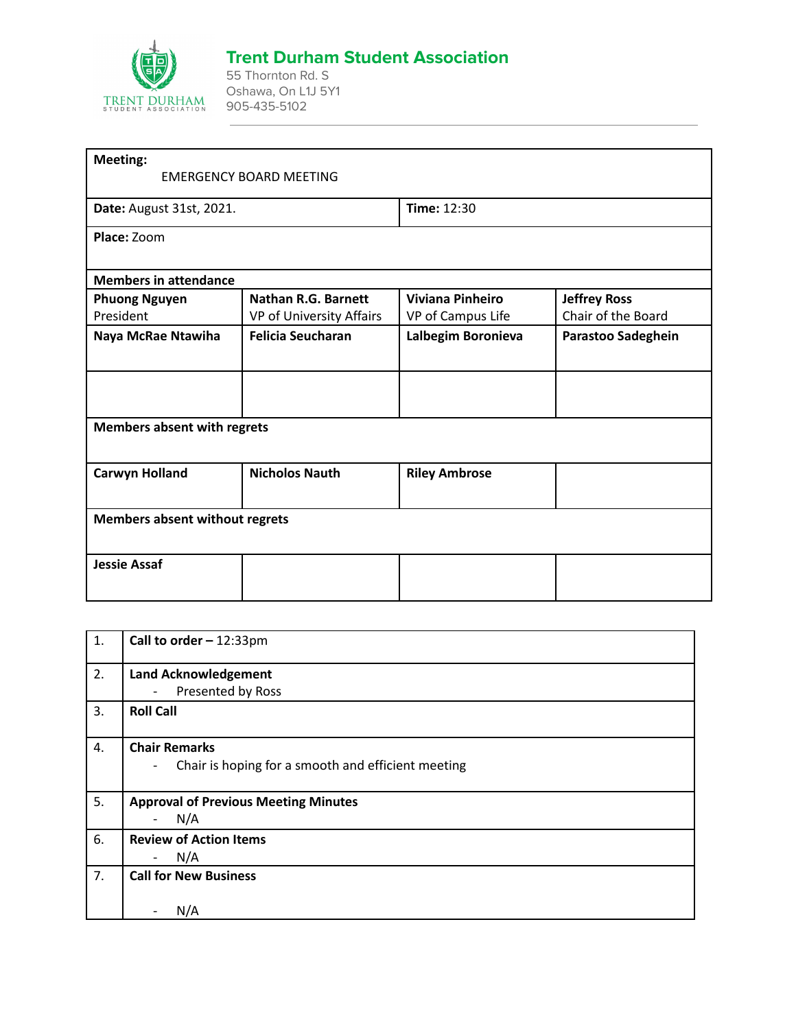

## **Trent Durham Student Association**

55 Thornton Rd. S Oshawa, On L1J 5Y1 905-435-5102

| <b>Meeting:</b>                       |                                |                         |                     |
|---------------------------------------|--------------------------------|-------------------------|---------------------|
|                                       | <b>EMERGENCY BOARD MEETING</b> |                         |                     |
| Date: August 31st, 2021.              |                                | Time: 12:30             |                     |
| Place: Zoom                           |                                |                         |                     |
| <b>Members in attendance</b>          |                                |                         |                     |
| <b>Phuong Nguyen</b>                  | <b>Nathan R.G. Barnett</b>     | <b>Viviana Pinheiro</b> | <b>Jeffrey Ross</b> |
| President                             | VP of University Affairs       | VP of Campus Life       | Chair of the Board  |
| Naya McRae Ntawiha                    | <b>Felicia Seucharan</b>       | Lalbegim Boronieva      | Parastoo Sadeghein  |
|                                       |                                |                         |                     |
| <b>Members absent with regrets</b>    |                                |                         |                     |
| <b>Carwyn Holland</b>                 | <b>Nicholos Nauth</b>          | <b>Riley Ambrose</b>    |                     |
| <b>Members absent without regrets</b> |                                |                         |                     |
| <b>Jessie Assaf</b>                   |                                |                         |                     |
|                                       |                                |                         |                     |

| 1. | Call to order $-12:33$ pm                                                      |
|----|--------------------------------------------------------------------------------|
| 2. | <b>Land Acknowledgement</b>                                                    |
|    | Presented by Ross<br>$\overline{\phantom{0}}$                                  |
| 3. | <b>Roll Call</b>                                                               |
| 4. | <b>Chair Remarks</b>                                                           |
|    | Chair is hoping for a smooth and efficient meeting<br>$\overline{\phantom{a}}$ |
| 5. | <b>Approval of Previous Meeting Minutes</b>                                    |
|    | N/A<br>$\overline{a}$                                                          |
| 6. | <b>Review of Action Items</b>                                                  |
|    | N/A<br>$\overline{\phantom{a}}$                                                |
| 7. | <b>Call for New Business</b>                                                   |
|    | N/A                                                                            |